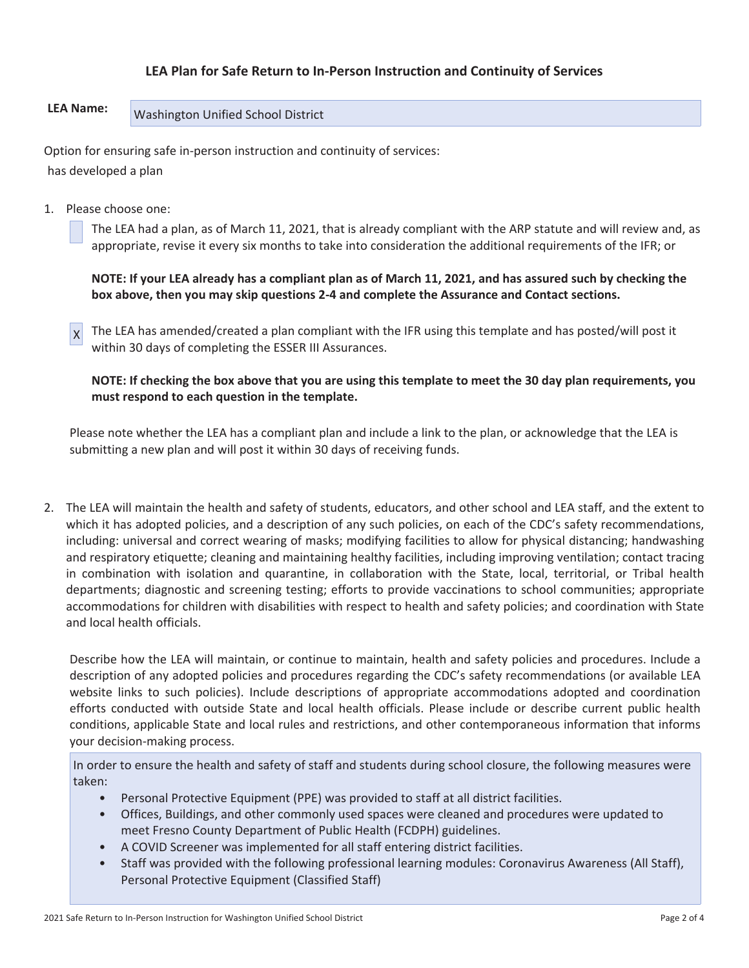## **LEA Plan for Safe Return to In-Person Instruction and Continuity of Services**

# LEA Name: **Washington Unified School District**

Option for ensuring safe in-person instruction and continuity of services: has developed a plan

1. Please choose one:

 The LEA had a plan, as of March 11, 2021, that is already compliant with the ARP statute and will review and, as appropriate, revise it every six months to take into consideration the additional requirements of the IFR; or

**NOTE: If your LEA already has a compliant plan as of March 11, 2021, and has assured such by checking the box above, then you may skip questions 2-4 and complete the Assurance and Contact sections.** 

 $x$  The LEA has amended/created a plan compliant with the IFR using this template and has posted/will post it within 30 days of completing the ESSER III Assurances.

**NOTE: If checking the box above that you are using this template to meet the 30 day plan requirements, you must respond to each question in the template.** 

Please note whether the LEA has a compliant plan and include a link to the plan, or acknowledge that the LEA is submitting a new plan and will post it within 30 days of receiving funds.

2. The LEA will maintain the health and safety of students, educators, and other school and LEA staff, and the extent to which it has adopted policies, and a description of any such policies, on each of the CDC's safety recommendations, including: universal and correct wearing of masks; modifying facilities to allow for physical distancing; handwashing and respiratory etiquette; cleaning and maintaining healthy facilities, including improving ventilation; contact tracing in combination with isolation and quarantine, in collaboration with the State, local, territorial, or Tribal health departments; diagnostic and screening testing; efforts to provide vaccinations to school communities; appropriate accommodations for children with disabilities with respect to health and safety policies; and coordination with State and local health officials.

Describe how the LEA will maintain, or continue to maintain, health and safety policies and procedures. Include a description of any adopted policies and procedures regarding the CDC's safety recommendations (or available LEA website links to such policies). Include descriptions of appropriate accommodations adopted and coordination efforts conducted with outside State and local health officials. Please include or describe current public health conditions, applicable State and local rules and restrictions, and other contemporaneous information that informs your decision-making process.

In order to ensure the health and safety of staff and students during school closure, the following measures were taken:

- Personal Protective Equipment (PPE) was provided to staff at all district facilities.
- Offices, Buildings, and other commonly used spaces were cleaned and procedures were updated to meet Fresno County Department of Public Health (FCDPH) guidelines.
- A COVID Screener was implemented for all staff entering district facilities.
- Staff was provided with the following professional learning modules: Coronavirus Awareness (All Staff), Personal Protective Equipment (Classified Staff)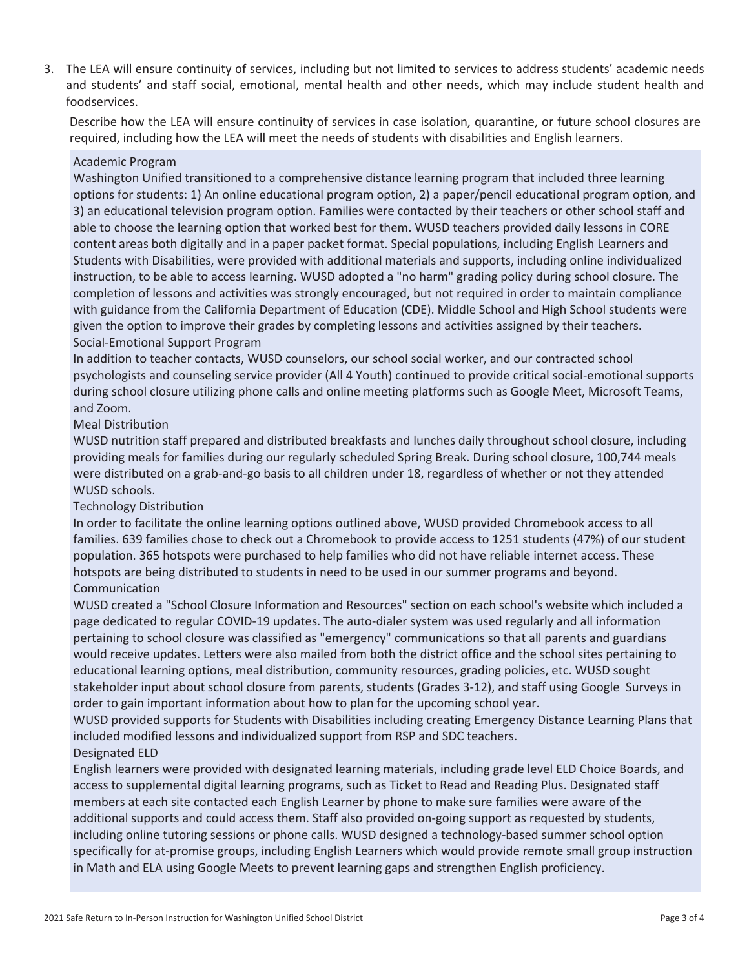3. The LEA will ensure continuity of services, including but not limited to services to address students' academic needs and students' and staff social, emotional, mental health and other needs, which may include student health and foodservices.

Describe how the LEA will ensure continuity of services in case isolation, quarantine, or future school closures are required, including how the LEA will meet the needs of students with disabilities and English learners.

### Academic Program

Washington Unified transitioned to a comprehensive distance learning program that included three learning options for students: 1) An online educational program option, 2) a paper/pencil educational program option, and 3) an educational television program option. Families were contacted by their teachers or other school staff and able to choose the learning option that worked best for them. WUSD teachers provided daily lessons in CORE content areas both digitally and in a paper packet format. Special populations, including English Learners and Students with Disabilities, were provided with additional materials and supports, including online individualized instruction, to be able to access learning. WUSD adopted a "no harm" grading policy during school closure. The completion of lessons and activities was strongly encouraged, but not required in order to maintain compliance with guidance from the California Department of Education (CDE). Middle School and High School students were given the option to improve their grades by completing lessons and activities assigned by their teachers. Social-Emotional Support Program

In addition to teacher contacts, WUSD counselors, our school social worker, and our contracted school psychologists and counseling service provider (All 4 Youth) continued to provide critical social-emotional supports during school closure utilizing phone calls and online meeting platforms such as Google Meet, Microsoft Teams, and Zoom.

#### Meal Distribution

WUSD nutrition staff prepared and distributed breakfasts and lunches daily throughout school closure, including providing meals for families during our regularly scheduled Spring Break. During school closure, 100,744 meals were distributed on a grab-and-go basis to all children under 18, regardless of whether or not they attended WUSD schools.

## Technology Distribution

In order to facilitate the online learning options outlined above, WUSD provided Chromebook access to all families. 639 families chose to check out a Chromebook to provide access to 1251 students (47%) of our student population. 365 hotspots were purchased to help families who did not have reliable internet access. These hotspots are being distributed to students in need to be used in our summer programs and beyond. Communication

WUSD created a "School Closure Information and Resources" section on each school's website which included a page dedicated to regular COVID-19 updates. The auto-dialer system was used regularly and all information pertaining to school closure was classified as "emergency" communications so that all parents and guardians would receive updates. Letters were also mailed from both the district office and the school sites pertaining to educational learning options, meal distribution, community resources, grading policies, etc. WUSD sought stakeholder input about school closure from parents, students (Grades 3-12), and staff using Google Surveys in order to gain important information about how to plan for the upcoming school year.

WUSD provided supports for Students with Disabilities including creating Emergency Distance Learning Plans that included modified lessons and individualized support from RSP and SDC teachers.

## Designated ELD

English learners were provided with designated learning materials, including grade level ELD Choice Boards, and access to supplemental digital learning programs, such as Ticket to Read and Reading Plus. Designated staff members at each site contacted each English Learner by phone to make sure families were aware of the additional supports and could access them. Staff also provided on-going support as requested by students, including online tutoring sessions or phone calls. WUSD designed a technology-based summer school option specifically for at-promise groups, including English Learners which would provide remote small group instruction in Math and ELA using Google Meets to prevent learning gaps and strengthen English proficiency.